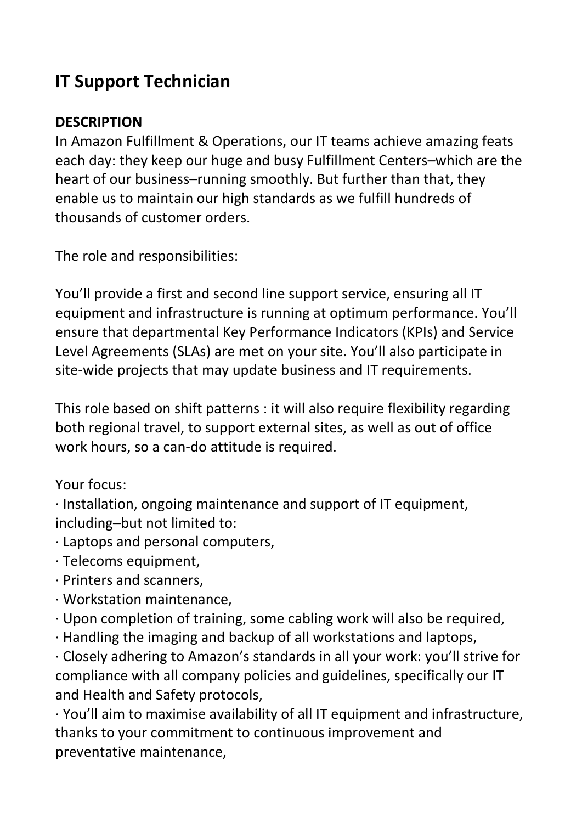## IT Support Technician

## **DESCRIPTION**

In Amazon Fulfillment & Operations, our IT teams achieve amazing feats each day: they keep our huge and busy Fulfillment Centers–which are the heart of our business–running smoothly. But further than that, they enable us to maintain our high standards as we fulfill hundreds of thousands of customer orders.

The role and responsibilities:

You'll provide a first and second line support service, ensuring all IT equipment and infrastructure is running at optimum performance. You'll ensure that departmental Key Performance Indicators (KPIs) and Service Level Agreements (SLAs) are met on your site. You'll also participate in site-wide projects that may update business and IT requirements.

This role based on shift patterns : it will also require flexibility regarding both regional travel, to support external sites, as well as out of office work hours, so a can-do attitude is required.

Your focus:

· Installation, ongoing maintenance and support of IT equipment, including–but not limited to:

· Laptops and personal computers,

- · Telecoms equipment,
- · Printers and scanners,
- · Workstation maintenance,
- · Upon completion of training, some cabling work will also be required,
- · Handling the imaging and backup of all workstations and laptops,

· Closely adhering to Amazon's standards in all your work: you'll strive for compliance with all company policies and guidelines, specifically our IT and Health and Safety protocols,

· You'll aim to maximise availability of all IT equipment and infrastructure, thanks to your commitment to continuous improvement and preventative maintenance,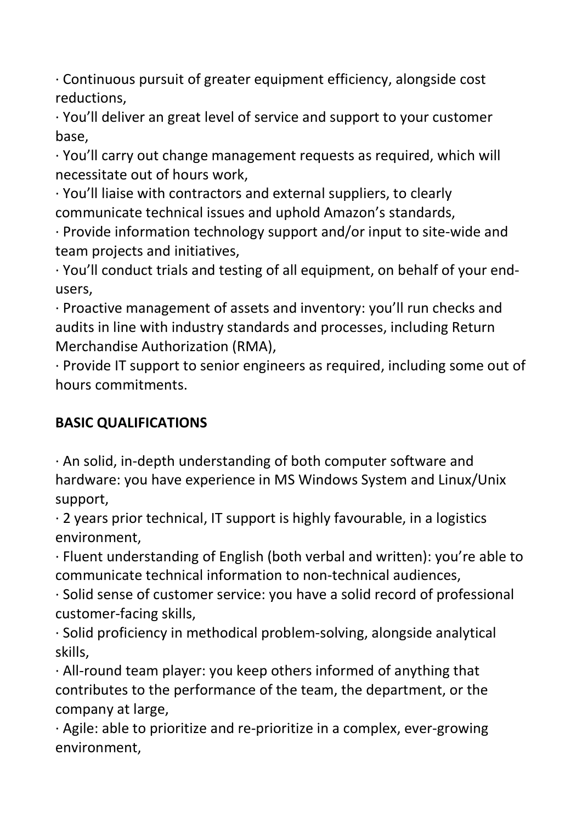· Continuous pursuit of greater equipment efficiency, alongside cost reductions,

· You'll deliver an great level of service and support to your customer base,

· You'll carry out change management requests as required, which will necessitate out of hours work,

· You'll liaise with contractors and external suppliers, to clearly communicate technical issues and uphold Amazon's standards,

· Provide information technology support and/or input to site-wide and team projects and initiatives,

· You'll conduct trials and testing of all equipment, on behalf of your endusers,

· Proactive management of assets and inventory: you'll run checks and audits in line with industry standards and processes, including Return Merchandise Authorization (RMA),

· Provide IT support to senior engineers as required, including some out of hours commitments.

## BASIC QUALIFICATIONS

· An solid, in-depth understanding of both computer software and hardware: you have experience in MS Windows System and Linux/Unix support,

· 2 years prior technical, IT support is highly favourable, in a logistics environment,

· Fluent understanding of English (both verbal and written): you're able to communicate technical information to non-technical audiences,

· Solid sense of customer service: you have a solid record of professional customer-facing skills,

· Solid proficiency in methodical problem-solving, alongside analytical skills,

· All-round team player: you keep others informed of anything that contributes to the performance of the team, the department, or the company at large,

· Agile: able to prioritize and re-prioritize in a complex, ever-growing environment,